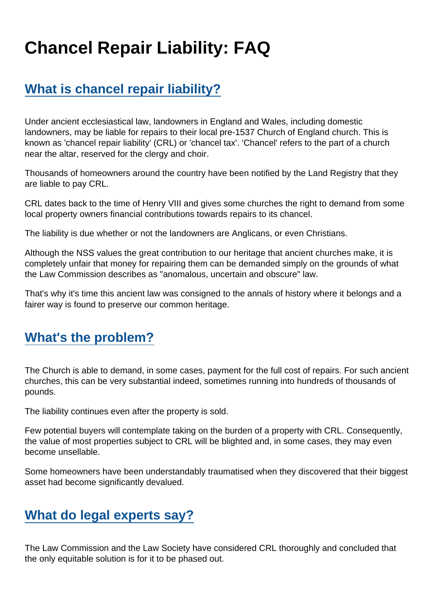# Chancel Repair Liability: FAQ

# [What is chancel repair liability?](https://www.secularism.org.uk/chancel-tax/chancel-repair-liability-faq.html#e-190941-a)

Under ancient ecclesiastical law, landowners in England and Wales, including domestic landowners, may be liable for repairs to their local pre-1537 Church of England church. This is known as 'chancel repair liability' (CRL) or 'chancel tax'. 'Chancel' refers to the part of a church near the altar, reserved for the clergy and choir.

Thousands of homeowners around the country have been notified by the Land Registry that they are liable to pay CRL.

CRL dates back to the time of Henry VIII and gives some churches the right to demand from some local property owners financial contributions towards repairs to its chancel.

The liability is due whether or not the landowners are Anglicans, or even Christians.

Although the NSS values the great contribution to our heritage that ancient churches make, it is completely unfair that money for repairing them can be demanded simply on the grounds of what the Law Commission describes as "anomalous, uncertain and obscure" law.

That's why it's time this ancient law was consigned to the annals of history where it belongs and a fairer way is found to preserve our common heritage.

#### [What's the problem?](https://www.secularism.org.uk/chancel-tax/chancel-repair-liability-faq.html#e-190942-a)

The Church is able to demand, in some cases, payment for the full cost of repairs. For such ancient churches, this can be very substantial indeed, sometimes running into hundreds of thousands of pounds.

The liability continues even after the property is sold.

Few potential buyers will contemplate taking on the burden of a property with CRL. Consequently, the value of most properties subject to CRL will be blighted and, in some cases, they may even become unsellable.

Some homeowners have been understandably traumatised when they discovered that their biggest asset had become significantly devalued.

# [What do legal experts say?](https://www.secularism.org.uk/chancel-tax/chancel-repair-liability-faq.html#e-190943-a)

The Law Commission and the Law Society have considered CRL thoroughly and concluded that the only equitable solution is for it to be phased out.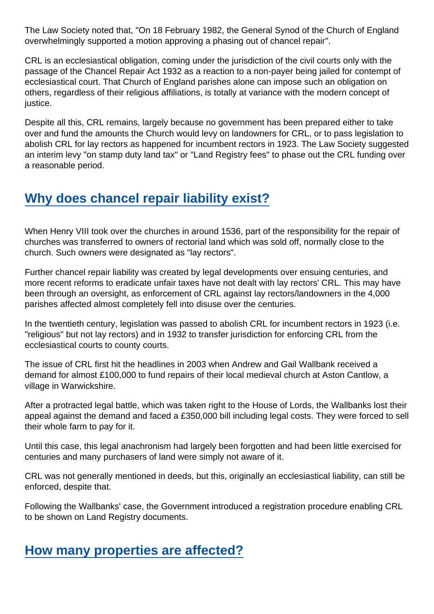The Law Society noted that, "On 18 February 1982, the General Synod of the Church of England overwhelmingly supported a motion approving a phasing out of chancel repair".

CRL is an ecclesiastical obligation, coming under the jurisdiction of the civil courts only with the passage of the Chancel Repair Act 1932 as a reaction to a non-payer being jailed for contempt of ecclesiastical court. That Church of England parishes alone can impose such an obligation on others, regardless of their religious affiliations, is totally at variance with the modern concept of justice.

Despite all this, CRL remains, largely because no government has been prepared either to take over and fund the amounts the Church would levy on landowners for CRL, or to pass legislation to abolish CRL for lay rectors as happened for incumbent rectors in 1923. The Law Society suggested an interim levy "on stamp duty land tax" or "Land Registry fees" to phase out the CRL funding over a reasonable period.

### [Why does chancel repair liability exist?](https://www.secularism.org.uk/chancel-tax/chancel-repair-liability-faq.html#e-190944-a)

When Henry VIII took over the churches in around 1536, part of the responsibility for the repair of churches was transferred to owners of rectorial land which was sold off, normally close to the church. Such owners were designated as "lay rectors".

Further chancel repair liability was created by legal developments over ensuing centuries, and more recent reforms to eradicate unfair taxes have not dealt with lay rectors' CRL. This may have been through an oversight, as enforcement of CRL against lay rectors/landowners in the 4,000 parishes affected almost completely fell into disuse over the centuries.

In the twentieth century, legislation was passed to abolish CRL for incumbent rectors in 1923 (i.e. "religious" but not lay rectors) and in 1932 to transfer jurisdiction for enforcing CRL from the ecclesiastical courts to county courts.

The issue of CRL first hit the headlines in 2003 when Andrew and Gail Wallbank received a demand for almost £100,000 to fund repairs of their local medieval church at Aston Cantlow, a village in Warwickshire.

After a protracted legal battle, which was taken right to the House of Lords, the Wallbanks lost their appeal against the demand and faced a £350,000 bill including legal costs. They were forced to sell their whole farm to pay for it.

Until this case, this legal anachronism had largely been forgotten and had been little exercised for centuries and many purchasers of land were simply not aware of it.

CRL was not generally mentioned in deeds, but this, originally an ecclesiastical liability, can still be enforced, despite that.

Following the Wallbanks' case, the Government introduced a registration procedure enabling CRL to be shown on Land Registry documents.

#### [How many properties are affected?](https://www.secularism.org.uk/chancel-tax/chancel-repair-liability-faq.html#e-190945-a)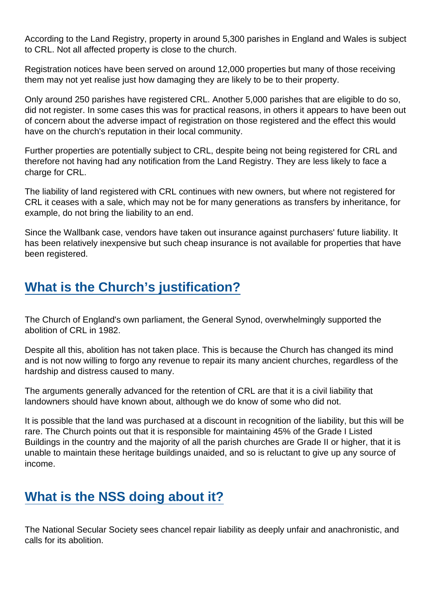According to the Land Registry, property in around 5,300 parishes in England and Wales is subject to CRL. Not all affected property is close to the church.

Registration notices have been served on around 12,000 properties but many of those receiving them may not yet realise just how damaging they are likely to be to their property.

Only around 250 parishes have registered CRL. Another 5,000 parishes that are eligible to do so, did not register. In some cases this was for practical reasons, in others it appears to have been out of concern about the adverse impact of registration on those registered and the effect this would have on the church's reputation in their local community.

Further properties are potentially subject to CRL, despite being not being registered for CRL and therefore not having had any notification from the Land Registry. They are less likely to face a charge for CRL.

The liability of land registered with CRL continues with new owners, but where not registered for CRL it ceases with a sale, which may not be for many generations as transfers by inheritance, for example, do not bring the liability to an end.

Since the Wallbank case, vendors have taken out insurance against purchasers' future liability. It has been relatively inexpensive but such cheap insurance is not available for properties that have been registered.

#### [What is the Church's justification?](https://www.secularism.org.uk/chancel-tax/chancel-repair-liability-faq.html#e-190946-a)

The Church of England's own parliament, the General Synod, overwhelmingly supported the abolition of CRL in 1982.

Despite all this, abolition has not taken place. This is because the Church has changed its mind and is not now willing to forgo any revenue to repair its many ancient churches, regardless of the hardship and distress caused to many.

The arguments generally advanced for the retention of CRL are that it is a civil liability that landowners should have known about, although we do know of some who did not.

It is possible that the land was purchased at a discount in recognition of the liability, but this will be rare. The Church points out that it is responsible for maintaining 45% of the Grade I Listed Buildings in the country and the majority of all the parish churches are Grade II or higher, that it is unable to maintain these heritage buildings unaided, and so is reluctant to give up any source of income.

## [What is the NSS doing about it?](https://www.secularism.org.uk/chancel-tax/chancel-repair-liability-faq.html#e-190947-a)

The National Secular Society sees chancel repair liability as deeply unfair and anachronistic, and calls for its abolition.